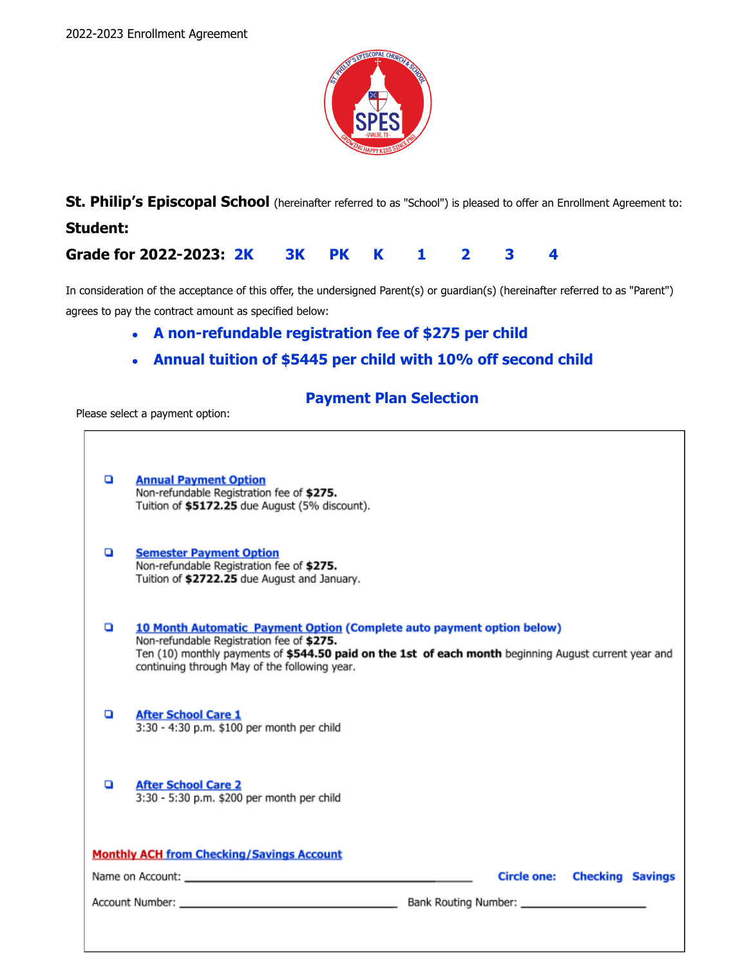

**St. Philip's Episcopal School** (hereinafter referred to as "School") is pleased to offer an Enrollment Agreement to: **Student:**

# **Grade for 2022-2023: 2K 3K PK K 1 2 3 4**

In consideration of the acceptance of this offer, the undersigned Parent(s) or guardian(s) (hereinafter referred to as "Parent") agrees to pay the contract amount as specified below:

- **● A non-refundable registration fee of \$275 per child**
- **● Annual tuition of \$5445 per child with 10% off second child**

# **Payment Plan Selection**

Please select a payment option:

| o                                                | <b>Annual Payment Option</b><br>Non-refundable Registration fee of \$275.<br>Tuition of \$5172.25 due August (5% discount).                                                                                                                                                   |
|--------------------------------------------------|-------------------------------------------------------------------------------------------------------------------------------------------------------------------------------------------------------------------------------------------------------------------------------|
| o                                                | <b>Semester Payment Option</b><br>Non-refundable Registration fee of \$275.<br>Tuition of \$2722.25 due August and January.                                                                                                                                                   |
| o                                                | 10 Month Automatic Payment Option (Complete auto payment option below)<br>Non-refundable Registration fee of \$275.<br>Ten (10) monthly payments of \$544.50 paid on the 1st of each month beginning August current year and<br>continuing through May of the following year. |
| o                                                | <b>After School Care 1</b><br>3:30 - 4:30 p.m. \$100 per month per child                                                                                                                                                                                                      |
| o                                                | <b>After School Care 2</b><br>3:30 - 5:30 p.m. \$200 per month per child                                                                                                                                                                                                      |
| <b>Monthly ACH from Checking/Savings Account</b> |                                                                                                                                                                                                                                                                               |
|                                                  | <b>Circle one:</b> Checking Savings                                                                                                                                                                                                                                           |
|                                                  |                                                                                                                                                                                                                                                                               |
|                                                  |                                                                                                                                                                                                                                                                               |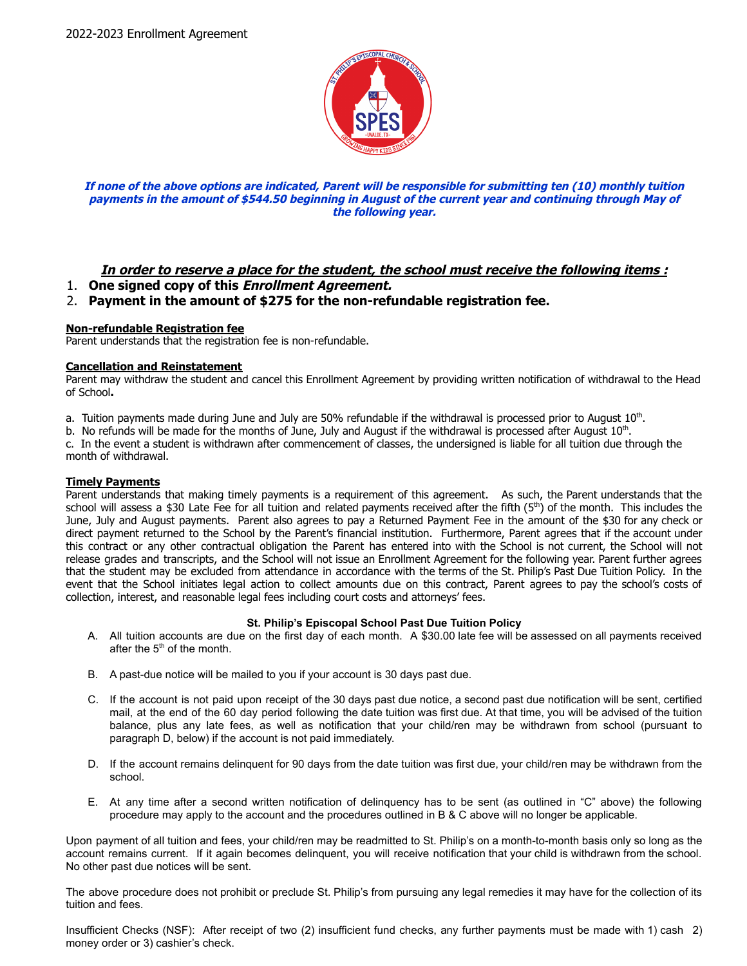

#### **If none of the above options are indicated, Parent will be responsible for submitting ten (10) monthly tuition payments in the amount of \$544.50 beginning in August of the current year and continuing through May of the following year.**

# **In order to reserve a place for the student, the school must receive the following items :**

1. **One signed copy of this Enrollment Agreement.**

# 2. **Payment in the amount of \$275 for the non-refundable registration fee.**

#### **Non-refundable Registration fee**

Parent understands that the registration fee is non-refundable.

#### **Cancellation and Reinstatement**

Parent may withdraw the student and cancel this Enrollment Agreement by providing written notification of withdrawal to the Head of School**.**

- a. Tuition payments made during June and July are 50% refundable if the withdrawal is processed prior to August  $10^{\text{th}}$ .
- b. No refunds will be made for the months of June, July and August if the withdrawal is processed after August  $10^{th}$ .

c. In the event a student is withdrawn after commencement of classes, the undersigned is liable for all tuition due through the month of withdrawal.

#### **Timely Payments**

Parent understands that making timely payments is a requirement of this agreement. As such, the Parent understands that the school will assess a \$30 Late Fee for all tuition and related payments received after the fifth  $(5<sup>th</sup>)$  of the month. This includes the June, July and August payments. Parent also agrees to pay a Returned Payment Fee in the amount of the \$30 for any check or direct payment returned to the School by the Parent's financial institution. Furthermore, Parent agrees that if the account under this contract or any other contractual obligation the Parent has entered into with the School is not current, the School will not release grades and transcripts, and the School will not issue an Enrollment Agreement for the following year. Parent further agrees that the student may be excluded from attendance in accordance with the terms of the St. Philip's Past Due Tuition Policy. In the event that the School initiates legal action to collect amounts due on this contract, Parent agrees to pay the school's costs of collection, interest, and reasonable legal fees including court costs and attorneys' fees.

#### **St. Philip's Episcopal School Past Due Tuition Policy**

- A. All tuition accounts are due on the first day of each month. A \$30.00 late fee will be assessed on all payments received after the  $5<sup>th</sup>$  of the month.
- B. A past-due notice will be mailed to you if your account is 30 days past due.
- C. If the account is not paid upon receipt of the 30 days past due notice, a second past due notification will be sent, certified mail, at the end of the 60 day period following the date tuition was first due. At that time, you will be advised of the tuition balance, plus any late fees, as well as notification that your child/ren may be withdrawn from school (pursuant to paragraph D, below) if the account is not paid immediately.
- D. If the account remains delinquent for 90 days from the date tuition was first due, your child/ren may be withdrawn from the school.
- E. At any time after a second written notification of delinquency has to be sent (as outlined in "C" above) the following procedure may apply to the account and the procedures outlined in B & C above will no longer be applicable.

Upon payment of all tuition and fees, your child/ren may be readmitted to St. Philip's on a month-to-month basis only so long as the account remains current. If it again becomes delinquent, you will receive notification that your child is withdrawn from the school. No other past due notices will be sent.

The above procedure does not prohibit or preclude St. Philip's from pursuing any legal remedies it may have for the collection of its tuition and fees.

Insufficient Checks (NSF): After receipt of two (2) insufficient fund checks, any further payments must be made with 1) cash 2) money order or 3) cashier's check.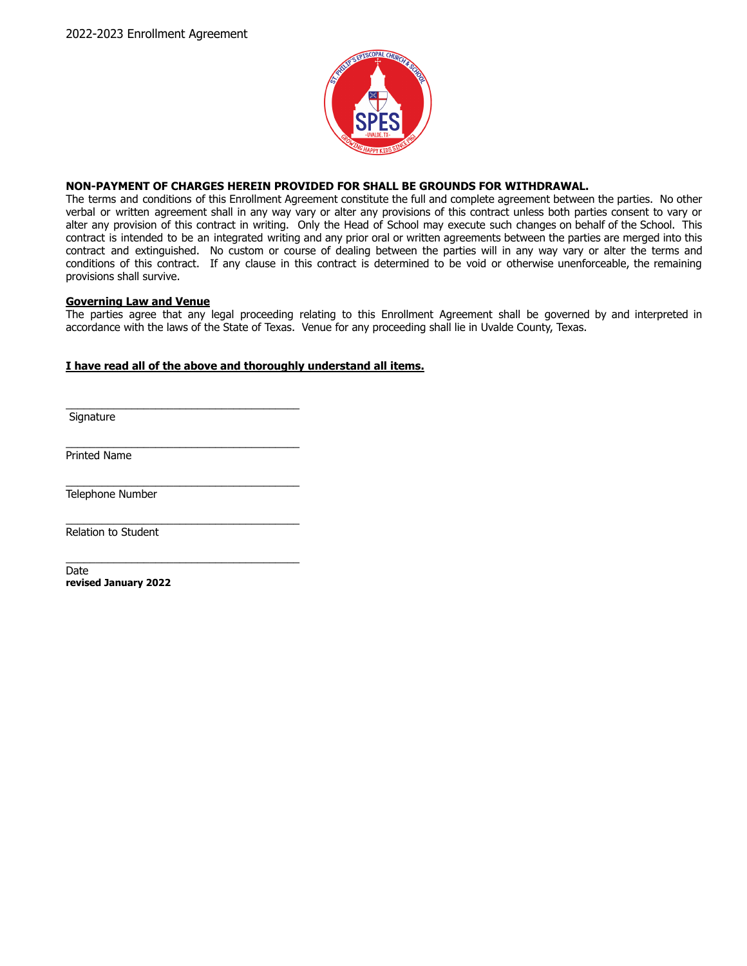

#### **NON-PAYMENT OF CHARGES HEREIN PROVIDED FOR SHALL BE GROUNDS FOR WITHDRAWAL.**

The terms and conditions of this Enrollment Agreement constitute the full and complete agreement between the parties. No other verbal or written agreement shall in any way vary or alter any provisions of this contract unless both parties consent to vary or alter any provision of this contract in writing. Only the Head of School may execute such changes on behalf of the School. This contract is intended to be an integrated writing and any prior oral or written agreements between the parties are merged into this contract and extinguished. No custom or course of dealing between the parties will in any way vary or alter the terms and conditions of this contract. If any clause in this contract is determined to be void or otherwise unenforceable, the remaining provisions shall survive.

#### **Governing Law and Venue**

\_\_\_\_\_\_\_\_\_\_\_\_\_\_\_\_\_\_\_\_\_\_\_\_\_\_\_\_\_\_\_\_\_\_\_\_\_\_\_

\_\_\_\_\_\_\_\_\_\_\_\_\_\_\_\_\_\_\_\_\_\_\_\_\_\_\_\_\_\_\_\_\_\_\_\_\_\_\_

\_\_\_\_\_\_\_\_\_\_\_\_\_\_\_\_\_\_\_\_\_\_\_\_\_\_\_\_\_\_\_\_\_\_\_\_\_\_\_

The parties agree that any legal proceeding relating to this Enrollment Agreement shall be governed by and interpreted in accordance with the laws of the State of Texas. Venue for any proceeding shall lie in Uvalde County, Texas.

### **I have read all of the above and thoroughly understand all items.**

**Signature** 

\_\_\_\_\_\_\_\_\_\_\_\_\_\_\_\_\_\_\_\_\_\_\_\_\_\_\_\_\_\_\_\_\_\_\_\_\_\_\_ Printed Name

\_\_\_\_\_\_\_\_\_\_\_\_\_\_\_\_\_\_\_\_\_\_\_\_\_\_\_\_\_\_\_\_\_\_\_\_\_\_\_ Telephone Number

Relation to Student

**Date revised January 2022**